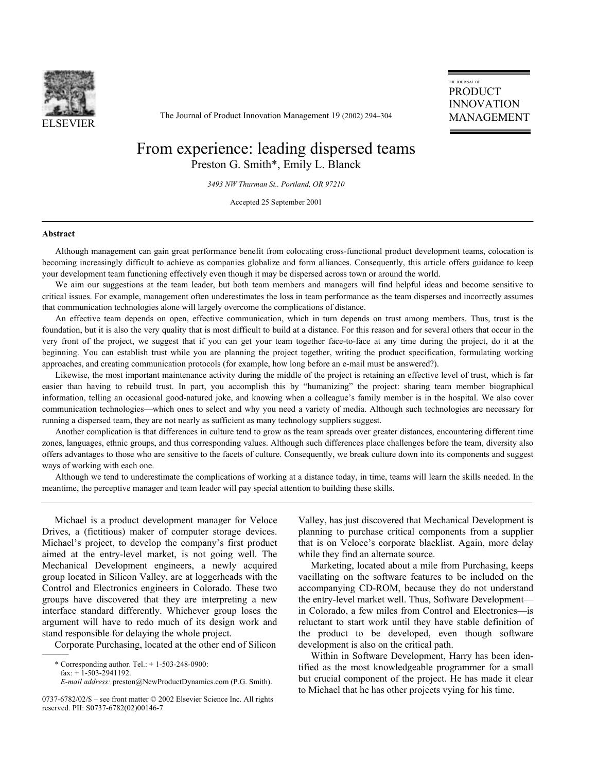

The Journal of Product Innovation Management 19 (2002) 294–304

 THE JOURNAL OF PRODUCT INNOVATION MANAGEMENT

# From experience: leading dispersed teams Preston G. Smith\*, Emily L. Blanck

*3493 NW Thurman St.. Portland, OR 97210* 

Accepted 25 September 2001

#### **Abstract**

Although management can gain great performance benefit from colocating cross-functional product development teams, colocation is becoming increasingly difficult to achieve as companies globalize and form alliances. Consequently, this article offers guidance to keep your development team functioning effectively even though it may be dispersed across town or around the world.

We aim our suggestions at the team leader, but both team members and managers will find helpful ideas and become sensitive to critical issues. For example, management often underestimates the loss in team performance as the team disperses and incorrectly assumes that communication technologies alone will largely overcome the complications of distance.

An effective team depends on open, effective communication, which in turn depends on trust among members. Thus, trust is the foundation, but it is also the very quality that is most difficult to build at a distance. For this reason and for several others that occur in the very front of the project, we suggest that if you can get your team together face-to-face at any time during the project, do it at the beginning. You can establish trust while you are planning the project together, writing the product specification, formulating working approaches, and creating communication protocols (for example, how long before an e-mail must be answered?).

Likewise, the most important maintenance activity during the middle of the project is retaining an effective level of trust, which is far easier than having to rebuild trust. In part, you accomplish this by "humanizing" the project: sharing team member biographical information, telling an occasional good-natured joke, and knowing when a colleague's family member is in the hospital. We also cover communication technologies—which ones to select and why you need a variety of media. Although such technologies are necessary for running a dispersed team, they are not nearly as sufficient as many technology suppliers suggest.

Another complication is that differences in culture tend to grow as the team spreads over greater distances, encountering different time zones, languages, ethnic groups, and thus corresponding values. Although such differences place challenges before the team, diversity also offers advantages to those who are sensitive to the facets of culture. Consequently, we break culture down into its components and suggest ways of working with each one.

Although we tend to underestimate the complications of working at a distance today, in time, teams will learn the skills needed. In the meantime, the perceptive manager and team leader will pay special attention to building these skills.

Michael is a product development manager for Veloce Drives, a (fictitious) maker of computer storage devices. Michael's project, to develop the company's first product aimed at the entry-level market, is not going well. The Mechanical Development engineers, a newly acquired group located in Silicon Valley, are at loggerheads with the Control and Electronics engineers in Colorado. These two groups have discovered that they are interpreting a new interface standard differently. Whichever group loses the argument will have to redo much of its design work and stand responsible for delaying the whole project.

Corporate Purchasing, located at the other end of Silicon \_\_\_\_\_\_\_\_\_\_\_

Valley, has just discovered that Mechanical Development is planning to purchase critical components from a supplier that is on Veloce's corporate blacklist. Again, more delay while they find an alternate source.

Marketing, located about a mile from Purchasing, keeps vacillating on the software features to be included on the accompanying CD-ROM, because they do not understand the entry-level market well. Thus, Software Developmentin Colorado, a few miles from Control and Electronics-is reluctant to start work until they have stable definition of the product to be developed, even though software development is also on the critical path.

Within in Software Development, Harry has been identified as the most knowledgeable programmer for a small but crucial component of the project. He has made it clear to Michael that he has other projects vying for his time.

<sup>\*</sup> Corresponding author. Tel.: + 1-503-248-0900:

fax:  $+$  1-503-2941192.

*E-mail address:* preston@NewProductDynamics.com (P.G. Smith).

 $0737-6782/02\rightarrow$  see front matter  $\odot$  2002 Elsevier Science Inc. All rights reserved. PII: S0737-6782(02)00146-7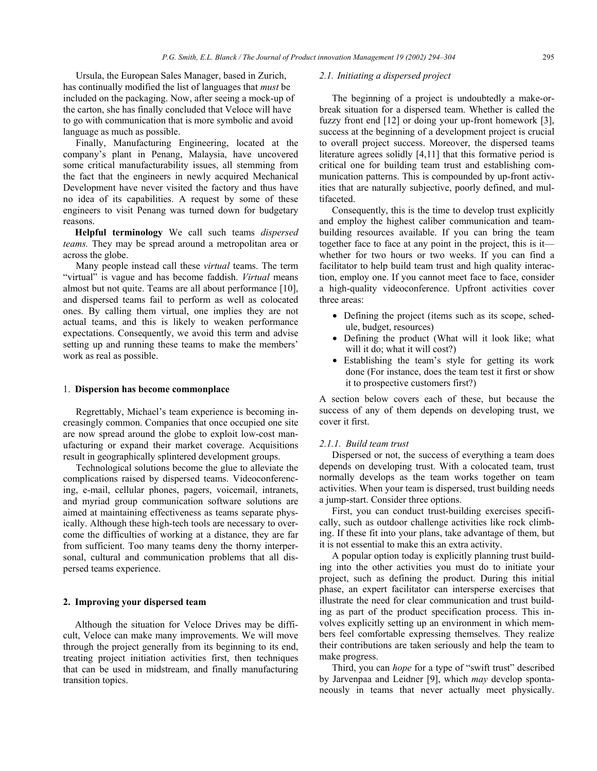Ursula, the European Sales Manager, based in Zurich, has continually modified the list of languages that *must* be included on the packaging. Now, after seeing a mock-up of the carton, she has finally concluded that Veloce will have to go with communication that is more symbolic and avoid language as much as possible.

Finally, Manufacturing Engineering, located at the companyís plant in Penang, Malaysia, have uncovered some critical manufacturability issues, all stemming from the fact that the engineers in newly acquired Mechanical Development have never visited the factory and thus have no idea of its capabilities. A request by some of these engineers to visit Penang was turned down for budgetary reasons.

**Helpful terminology** We call such teams *dispersed teams.* They may be spread around a metropolitan area or across the globe.

Many people instead call these *virtual* teams. The term "virtual" is vague and has become faddish. *Virtual* means almost but not quite. Teams are all about performance [10], and dispersed teams fail to perform as well as colocated ones. By calling them virtual, one implies they are not actual teams, and this is likely to weaken performance expectations. Consequently, we avoid this term and advise setting up and running these teams to make the members' work as real as possible.

#### 1. **Dispersion has become commonplace**

Regrettably, Michael's team experience is becoming increasingly common. Companies that once occupied one site are now spread around the globe to exploit low-cost manufacturing or expand their market coverage. Acquisitions result in geographically splintered development groups.

Technological solutions become the glue to alleviate the complications raised by dispersed teams. Videoconferencing, e-mail, cellular phones, pagers, voicemail, intranets, and myriad group communication software solutions are aimed at maintaining effectiveness as teams separate physically. Although these high-tech tools are necessary to overcome the difficulties of working at a distance, they are far from sufficient. Too many teams deny the thorny interpersonal, cultural and communication problems that all dispersed teams experience.

## **2. Improving your dispersed team**

Although the situation for Veloce Drives may be difficult, Veloce can make many improvements. We will move through the project generally from its beginning to its end, treating project initiation activities first, then techniques that can be used in midstream, and finally manufacturing transition topics.

#### *2.1. Initiating a dispersed project*

The beginning of a project is undoubtedly a make-orbreak situation for a dispersed team. Whether is called the fuzzy front end [12] or doing your up-front homework [3], success at the beginning of a development project is crucial to overall project success. Moreover, the dispersed teams literature agrees solidly [4,11] that this formative period is critical one for building team trust and establishing communication patterns. This is compounded by up-front activities that are naturally subjective, poorly defined, and multifaceted.

Consequently, this is the time to develop trust explicitly and employ the highest caliber communication and teambuilding resources available. If you can bring the team together face to face at any point in the project, this is it whether for two hours or two weeks. If you can find a facilitator to help build team trust and high quality interaction, employ one. If you cannot meet face to face, consider a high-quality videoconference. Upfront activities cover three areas:

- Defining the project (items such as its scope, schedule, budget, resources)
- Defining the product (What will it look like; what will it do; what it will cost?)
- Establishing the team's style for getting its work done (For instance, does the team test it first or show it to prospective customers first?)

A section below covers each of these, but because the success of any of them depends on developing trust, we cover it first.

#### *2.1.1. Build team trust*

Dispersed or not, the success of everything a team does depends on developing trust. With a colocated team, trust normally develops as the team works together on team activities. When your team is dispersed, trust building needs a jump-start. Consider three options.

First, you can conduct trust-building exercises specifically, such as outdoor challenge activities like rock climbing. If these fit into your plans, take advantage of them, but it is not essential to make this an extra activity.

A popular option today is explicitly planning trust building into the other activities you must do to initiate your project, such as defining the product. During this initial phase, an expert facilitator can intersperse exercises that illustrate the need for clear communication and trust building as part of the product specification process. This involves explicitly setting up an environment in which members feel comfortable expressing themselves. They realize their contributions are taken seriously and help the team to make progress.

Third, you can *hope* for a type of "swift trust" described by Jarvenpaa and Leidner [9], which *may* develop spontaneously in teams that never actually meet physically.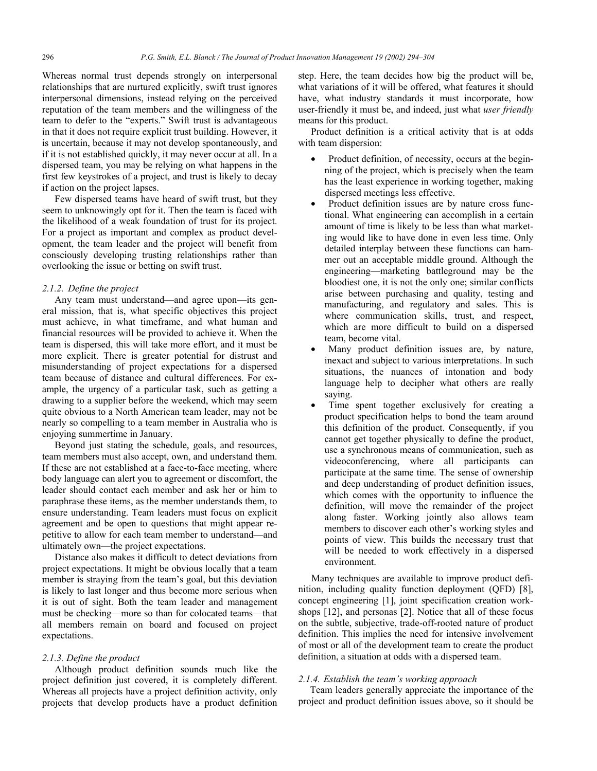Whereas normal trust depends strongly on interpersonal relationships that are nurtured explicitly, swift trust ignores interpersonal dimensions, instead relying on the perceived reputation of the team members and the willingness of the team to defer to the "experts." Swift trust is advantageous in that it does not require explicit trust building. However, it is uncertain, because it may not develop spontaneously, and if it is not established quickly, it may never occur at all. In a dispersed team, you may be relying on what happens in the first few keystrokes of a project, and trust is likely to decay if action on the project lapses.

Few dispersed teams have heard of swift trust, but they seem to unknowingly opt for it. Then the team is faced with the likelihood of a weak foundation of trust for its project. For a project as important and complex as product development, the team leader and the project will benefit from consciously developing trusting relationships rather than overlooking the issue or betting on swift trust.

## *2.1.2. Define the project*

Any team must understand—and agree upon—its general mission, that is, what specific objectives this project must achieve, in what timeframe, and what human and financial resources will be provided to achieve it. When the team is dispersed, this will take more effort, and it must be more explicit. There is greater potential for distrust and misunderstanding of project expectations for a dispersed team because of distance and cultural differences. For example, the urgency of a particular task, such as getting a drawing to a supplier before the weekend, which may seem quite obvious to a North American team leader, may not be nearly so compelling to a team member in Australia who is enjoying summertime in January.

Beyond just stating the schedule, goals, and resources, team members must also accept, own, and understand them. If these are not established at a face-to-face meeting, where body language can alert you to agreement or discomfort, the leader should contact each member and ask her or him to paraphrase these items, as the member understands them, to ensure understanding. Team leaders must focus on explicit agreement and be open to questions that might appear repetitive to allow for each team member to understand—and ultimately own—the project expectations.

Distance also makes it difficult to detect deviations from project expectations. It might be obvious locally that a team member is straying from the team's goal, but this deviation is likely to last longer and thus become more serious when it is out of sight. Both the team leader and management must be checking—more so than for colocated teams—that all members remain on board and focused on project expectations.

# *2.1.3. Define the product*

Although product definition sounds much like the project definition just covered, it is completely different. Whereas all projects have a project definition activity, only projects that develop products have a product definition

step. Here, the team decides how big the product will be, what variations of it will be offered, what features it should have, what industry standards it must incorporate, how user-friendly it must be, and indeed, just what *user friendly*  means for this product.

Product definition is a critical activity that is at odds with team dispersion:

- Product definition, of necessity, occurs at the beginning of the project, which is precisely when the team has the least experience in working together, making dispersed meetings less effective.
- Product definition issues are by nature cross functional. What engineering can accomplish in a certain amount of time is likely to be less than what marketing would like to have done in even less time. Only detailed interplay between these functions can hammer out an acceptable middle ground. Although the engineering—marketing battleground may be the bloodiest one, it is not the only one; similar conflicts arise between purchasing and quality, testing and manufacturing, and regulatory and sales. This is where communication skills, trust, and respect, which are more difficult to build on a dispersed team, become vital.
- Many product definition issues are, by nature, inexact and subject to various interpretations. In such situations, the nuances of intonation and body language help to decipher what others are really saying.
- Time spent together exclusively for creating a product specification helps to bond the team around this definition of the product. Consequently, if you cannot get together physically to define the product, use a synchronous means of communication, such as videoconferencing, where all participants can participate at the same time. The sense of ownership and deep understanding of product definition issues, which comes with the opportunity to influence the definition, will move the remainder of the project along faster. Working jointly also allows team members to discover each other's working styles and points of view. This builds the necessary trust that will be needed to work effectively in a dispersed environment.

Many techniques are available to improve product definition, including quality function deployment (QFD) [8], concept engineering [1], joint specification creation workshops [12], and personas [2]. Notice that all of these focus on the subtle, subjective, trade-off-rooted nature of product definition. This implies the need for intensive involvement of most or all of the development team to create the product definition, a situation at odds with a dispersed team.

## *2.1.4. Establish the teamís working approach*

Team leaders generally appreciate the importance of the project and product definition issues above, so it should be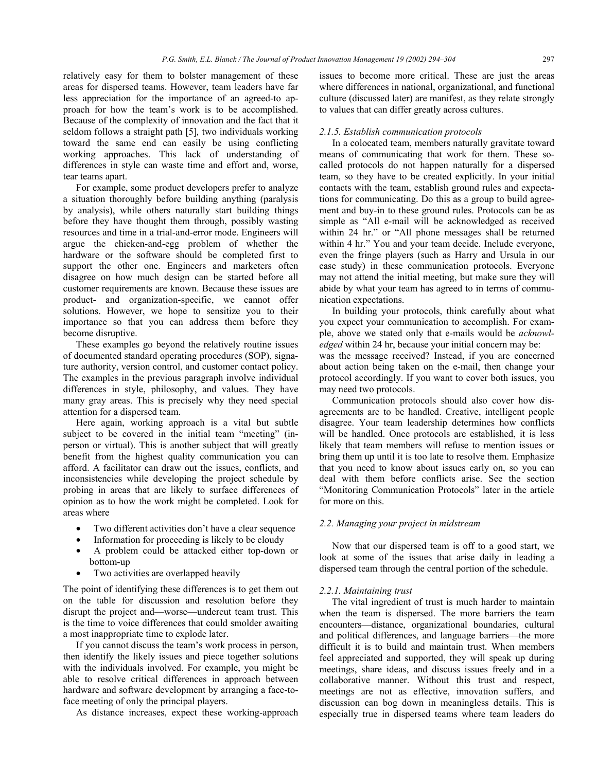relatively easy for them to bolster management of these areas for dispersed teams. However, team leaders have far less appreciation for the importance of an agreed-to approach for how the team's work is to be accomplished. Because of the complexity of innovation and the fact that it seldom follows a straight path [5]*,* two individuals working toward the same end can easily be using conflicting working approaches. This lack of understanding of differences in style can waste time and effort and, worse, tear teams apart.

For example, some product developers prefer to analyze a situation thoroughly before building anything (paralysis by analysis), while others naturally start building things before they have thought them through, possibly wasting resources and time in a trial-and-error mode. Engineers will argue the chicken-and-egg problem of whether the hardware or the software should be completed first to support the other one. Engineers and marketers often disagree on how much design can be started before all customer requirements are known. Because these issues are product- and organization-specific, we cannot offer solutions. However, we hope to sensitize you to their importance so that you can address them before they become disruptive.

These examples go beyond the relatively routine issues of documented standard operating procedures (SOP), signature authority, version control, and customer contact policy. The examples in the previous paragraph involve individual differences in style, philosophy, and values. They have many gray areas. This is precisely why they need special attention for a dispersed team.

Here again, working approach is a vital but subtle subject to be covered in the initial team "meeting" (inperson or virtual). This is another subject that will greatly benefit from the highest quality communication you can afford. A facilitator can draw out the issues, conflicts, and inconsistencies while developing the project schedule by probing in areas that are likely to surface differences of opinion as to how the work might be completed. Look for areas where

- Two different activities don't have a clear sequence
- Information for proceeding is likely to be cloudy
- A problem could be attacked either top-down or bottom-up
- Two activities are overlapped heavily

The point of identifying these differences is to get them out on the table for discussion and resolution before they disrupt the project and—worse—undercut team trust. This is the time to voice differences that could smolder awaiting a most inappropriate time to explode later.

If you cannot discuss the team's work process in person, then identify the likely issues and piece together solutions with the individuals involved. For example, you might be able to resolve critical differences in approach between hardware and software development by arranging a face-toface meeting of only the principal players.

As distance increases, expect these working-approach

issues to become more critical. These are just the areas where differences in national, organizational, and functional culture (discussed later) are manifest, as they relate strongly to values that can differ greatly across cultures.

#### *2.1.5. Establish communication protocols*

In a colocated team, members naturally gravitate toward means of communicating that work for them. These socalled protocols do not happen naturally for a dispersed team, so they have to be created explicitly. In your initial contacts with the team, establish ground rules and expectations for communicating. Do this as a group to build agreement and buy-in to these ground rules. Protocols can be as simple as "All e-mail will be acknowledged as received within 24 hr." or "All phone messages shall be returned within 4 hr." You and your team decide. Include everyone, even the fringe players (such as Harry and Ursula in our case study) in these communication protocols. Everyone may not attend the initial meeting, but make sure they will abide by what your team has agreed to in terms of communication expectations.

In building your protocols, think carefully about what you expect your communication to accomplish. For example, above we stated only that e-mails would be *acknowledged* within 24 hr, because your initial concern may be: was the message received? Instead, if you are concerned

about action being taken on the e-mail, then change your protocol accordingly. If you want to cover both issues, you may need two protocols.

Communication protocols should also cover how disagreements are to be handled. Creative, intelligent people disagree. Your team leadership determines how conflicts will be handled. Once protocols are established, it is less likely that team members will refuse to mention issues or bring them up until it is too late to resolve them. Emphasize that you need to know about issues early on, so you can deal with them before conflicts arise. See the section "Monitoring Communication Protocols" later in the article for more on this.

## *2.2. Managing your project in midstream*

Now that our dispersed team is off to a good start, we look at some of the issues that arise daily in leading a dispersed team through the central portion of the schedule.

#### *2.2.1. Maintaining trust*

The vital ingredient of trust is much harder to maintain when the team is dispersed. The more barriers the team encounters—distance, organizational boundaries, cultural and political differences, and language barriers—the more difficult it is to build and maintain trust. When members feel appreciated and supported, they will speak up during meetings, share ideas, and discuss issues freely and in a collaborative manner. Without this trust and respect, meetings are not as effective, innovation suffers, and discussion can bog down in meaningless details. This is especially true in dispersed teams where team leaders do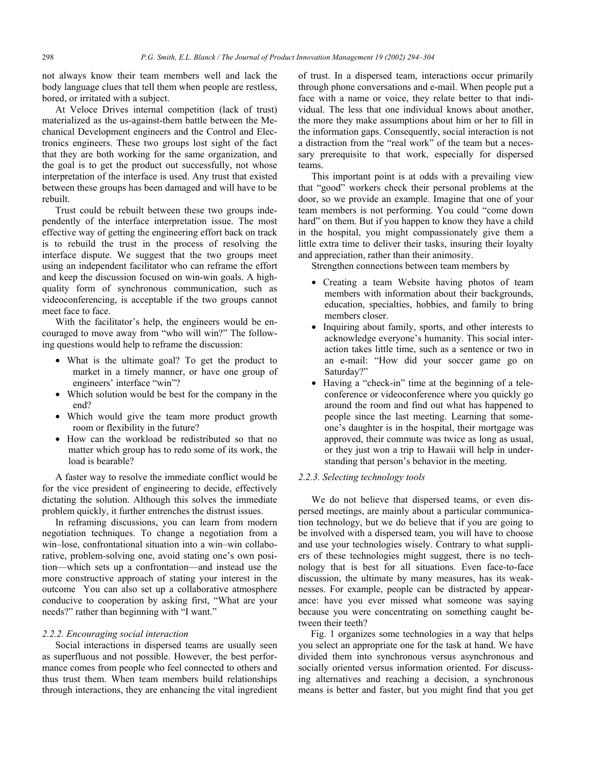not always know their team members well and lack the body language clues that tell them when people are restless, bored, or irritated with a subject.

At Veloce Drives internal competition (lack of trust) materialized as the us-against-them battle between the Mechanical Development engineers and the Control and Electronics engineers. These two groups lost sight of the fact that they are both working for the same organization, and the goal is to get the product out successfully, not whose interpretation of the interface is used. Any trust that existed between these groups has been damaged and will have to be rebuilt.

Trust could be rebuilt between these two groups independently of the interface interpretation issue. The most effective way of getting the engineering effort back on track is to rebuild the trust in the process of resolving the interface dispute. We suggest that the two groups meet using an independent facilitator who can reframe the effort and keep the discussion focused on win-win goals. A highquality form of synchronous communication, such as videoconferencing, is acceptable if the two groups cannot meet face to face.

With the facilitator's help, the engineers would be encouraged to move away from "who will win?" The following questions would help to reframe the discussion:

- What is the ultimate goal? To get the product to market in a timely manner, or have one group of engineers' interface "win"?
- Which solution would be best for the company in the end?
- Which would give the team more product growth room or flexibility in the future?
- How can the workload be redistributed so that no matter which group has to redo some of its work, the load is bearable?

A faster way to resolve the immediate conflict would be for the vice president of engineering to decide, effectively dictating the solution. Although this solves the immediate problem quickly, it further entrenches the distrust issues.

In reframing discussions, you can learn from modern negotiation techniques. To change a negotiation from a win-lose, confrontational situation into a win-win collaborative, problem-solving one, avoid stating one's own position—which sets up a confrontation—and instead use the more constructive approach of stating your interest in the outcome You can also set up a collaborative atmosphere conducive to cooperation by asking first, "What are your needs?" rather than beginning with "I want."

#### *2.2.2. Encouraging social interaction*

Social interactions in dispersed teams are usually seen as superfluous and not possible. However, the best performance comes from people who feel connected to others and thus trust them. When team members build relationships through interactions, they are enhancing the vital ingredient of trust. In a dispersed team, interactions occur primarily through phone conversations and e-mail. When people put a face with a name or voice, they relate better to that individual. The less that one individual knows about another, the more they make assumptions about him or her to fill in the information gaps. Consequently, social interaction is not a distraction from the "real work" of the team but a necessary prerequisite to that work, especially for dispersed teams.

This important point is at odds with a prevailing view that "good" workers check their personal problems at the door, so we provide an example. Imagine that one of your team members is not performing. You could "come down hard" on them. But if you happen to know they have a child in the hospital, you might compassionately give them a little extra time to deliver their tasks, insuring their loyalty and appreciation, rather than their animosity.

Strengthen connections between team members by

- Creating a team Website having photos of team members with information about their backgrounds, education, specialties, hobbies, and family to bring members closer.
- Inquiring about family, sports, and other interests to acknowledge everyone's humanity. This social interaction takes little time, such as a sentence or two in an e-mail: "How did your soccer game go on Saturday?"
- Having a "check-in" time at the beginning of a teleconference or videoconference where you quickly go around the room and find out what has happened to people since the last meeting. Learning that someone's daughter is in the hospital, their mortgage was approved, their commute was twice as long as usual, or they just won a trip to Hawaii will help in understanding that person's behavior in the meeting.

## *2.2.3. Selecting technology tools*

We do not believe that dispersed teams, or even dispersed meetings, are mainly about a particular communication technology, but we do believe that if you are going to be involved with a dispersed team, you will have to choose and use your technologies wisely. Contrary to what suppliers of these technologies might suggest, there is no technology that is best for all situations. Even face-to-face discussion, the ultimate by many measures, has its weaknesses. For example, people can be distracted by appearance: have you ever missed what someone was saying because you were concentrating on something caught between their teeth?

Fig. 1 organizes some technologies in a way that helps you select an appropriate one for the task at hand. We have divided them into synchronous versus asynchronous and socially oriented versus information oriented. For discussing alternatives and reaching a decision, a synchronous means is better and faster, but you might find that you get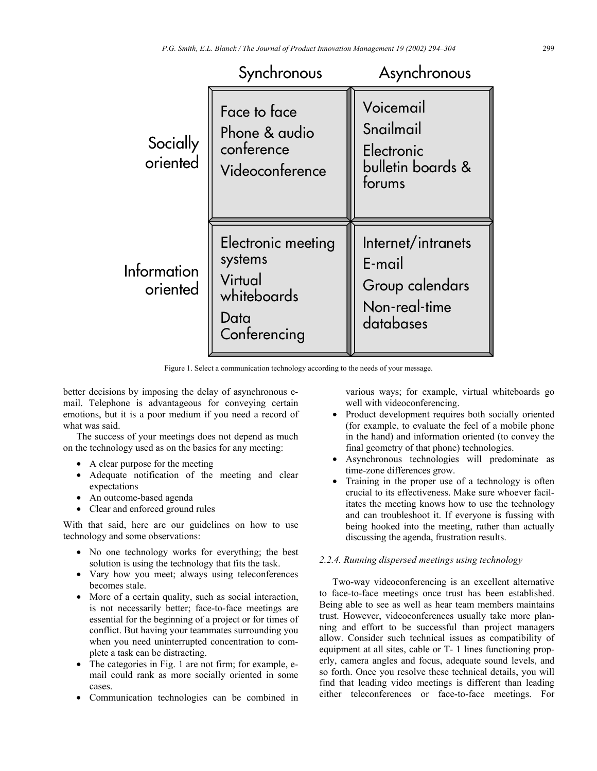

Figure 1. Select a communication technology according to the needs of your message.

better decisions by imposing the delay of asynchronous email. Telephone is advantageous for conveying certain emotions, but it is a poor medium if you need a record of what was said.

The success of your meetings does not depend as much on the technology used as on the basics for any meeting:

- A clear purpose for the meeting
- Adequate notification of the meeting and clear expectations
- An outcome-based agenda
- Clear and enforced ground rules

With that said, here are our guidelines on how to use technology and some observations:

- No one technology works for everything; the best solution is using the technology that fits the task.
- Vary how you meet; always using teleconferences becomes stale.
- More of a certain quality, such as social interaction, is not necessarily better; face-to-face meetings are essential for the beginning of a project or for times of conflict. But having your teammates surrounding you when you need uninterrupted concentration to complete a task can be distracting.
- The categories in Fig. 1 are not firm; for example, email could rank as more socially oriented in some cases.
- Communication technologies can be combined in

various ways; for example, virtual whiteboards go well with videoconferencing.

- Product development requires both socially oriented (for example, to evaluate the feel of a mobile phone in the hand) and information oriented (to convey the final geometry of that phone) technologies.
- Asynchronous technologies will predominate as time-zone differences grow.
- Training in the proper use of a technology is often crucial to its effectiveness. Make sure whoever facilitates the meeting knows how to use the technology and can troubleshoot it. If everyone is fussing with being hooked into the meeting, rather than actually discussing the agenda, frustration results.

#### *2.2.4. Running dispersed meetings using technology*

Two-way videoconferencing is an excellent alternative to face-to-face meetings once trust has been established. Being able to see as well as hear team members maintains trust. However, videoconferences usually take more planning and effort to be successful than project managers allow. Consider such technical issues as compatibility of equipment at all sites, cable or T- 1 lines functioning properly, camera angles and focus, adequate sound levels, and so forth. Once you resolve these technical details, you will find that leading video meetings is different than leading either teleconferences or face-to-face meetings. For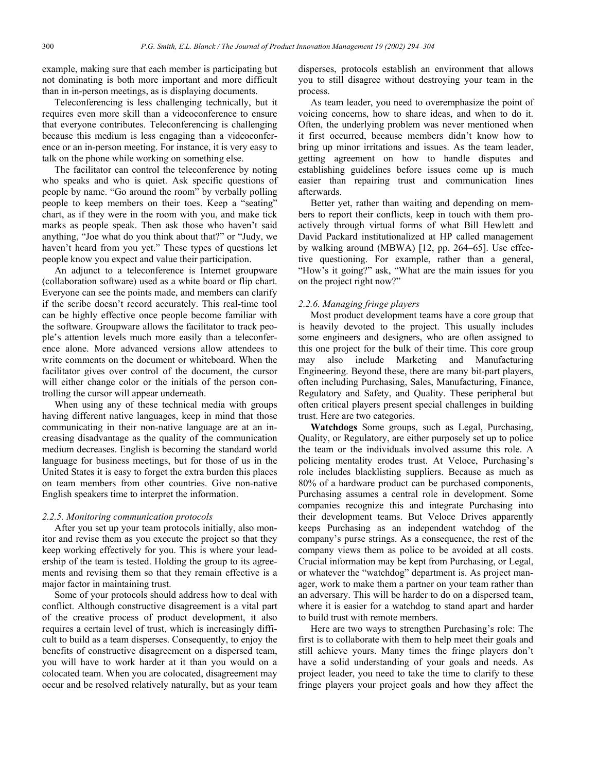example, making sure that each member is participating but not dominating is both more important and more difficult than in in-person meetings, as is displaying documents.

Teleconferencing is less challenging technically, but it requires even more skill than a videoconference to ensure that everyone contributes. Teleconferencing is challenging because this medium is less engaging than a videoconference or an in-person meeting. For instance, it is very easy to talk on the phone while working on something else.

The facilitator can control the teleconference by noting who speaks and who is quiet. Ask specific questions of people by name. "Go around the room" by verbally polling people to keep members on their toes. Keep a "seating" chart, as if they were in the room with you, and make tick marks as people speak. Then ask those who haven't said anything, "Joe what do you think about that?" or "Judy, we haven't heard from you yet." These types of questions let people know you expect and value their participation.

An adjunct to a teleconference is Internet groupware (collaboration software) used as a white board or flip chart. Everyone can see the points made, and members can clarify if the scribe doesn't record accurately. This real-time tool can be highly effective once people become familiar with the software. Groupware allows the facilitator to track people's attention levels much more easily than a teleconference alone. More advanced versions allow attendees to write comments on the document or whiteboard. When the facilitator gives over control of the document, the cursor will either change color or the initials of the person controlling the cursor will appear underneath.

When using any of these technical media with groups having different native languages, keep in mind that those communicating in their non-native language are at an increasing disadvantage as the quality of the communication medium decreases. English is becoming the standard world language for business meetings, but for those of us in the United States it is easy to forget the extra burden this places on team members from other countries. Give non-native English speakers time to interpret the information.

#### *2.2.5. Monitoring communication protocols*

After you set up your team protocols initially, also monitor and revise them as you execute the project so that they keep working effectively for you. This is where your leadership of the team is tested. Holding the group to its agreements and revising them so that they remain effective is a major factor in maintaining trust.

Some of your protocols should address how to deal with conflict. Although constructive disagreement is a vital part of the creative process of product development, it also requires a certain level of trust, which is increasingly difficult to build as a team disperses. Consequently, to enjoy the benefits of constructive disagreement on a dispersed team, you will have to work harder at it than you would on a colocated team. When you are colocated, disagreement may occur and be resolved relatively naturally, but as your team

disperses, protocols establish an environment that allows you to still disagree without destroying your team in the process.

As team leader, you need to overemphasize the point of voicing concerns, how to share ideas, and when to do it. Often, the underlying problem was never mentioned when it first occurred, because members didn't know how to bring up minor irritations and issues. As the team leader, getting agreement on how to handle disputes and establishing guidelines before issues come up is much easier than repairing trust and communication lines afterwards.

Better yet, rather than waiting and depending on members to report their conflicts, keep in touch with them proactively through virtual forms of what Bill Hewlett and David Packard institutionalized at HP called management by walking around (MBWA)  $[12, pp. 264–65]$ . Use effective questioning. For example, rather than a general, "How's it going?" ask, "What are the main issues for you on the project right now?"

#### *2.2.6. Managing fringe players*

Most product development teams have a core group that is heavily devoted to the project. This usually includes some engineers and designers, who are often assigned to this one project for the bulk of their time. This core group may also include Marketing and Manufacturing Engineering. Beyond these, there are many bit-part players, often including Purchasing, Sales, Manufacturing, Finance, Regulatory and Safety, and Quality. These peripheral but often critical players present special challenges in building trust. Here are two categories.

**Watchdogs** Some groups, such as Legal, Purchasing, Quality, or Regulatory, are either purposely set up to police the team or the individuals involved assume this role. A policing mentality erodes trust. At Veloce, Purchasing's role includes blacklisting suppliers. Because as much as 80% of a hardware product can be purchased components, Purchasing assumes a central role in development. Some companies recognize this and integrate Purchasing into their development teams. But Veloce Drives apparently keeps Purchasing as an independent watchdog of the company's purse strings. As a consequence, the rest of the company views them as police to be avoided at all costs. Crucial information may be kept from Purchasing, or Legal, or whatever the "watchdog" department is. As project manager, work to make them a partner on your team rather than an adversary. This will be harder to do on a dispersed team, where it is easier for a watchdog to stand apart and harder to build trust with remote members.

Here are two ways to strengthen Purchasing's role: The first is to collaborate with them to help meet their goals and still achieve yours. Many times the fringe players don't have a solid understanding of your goals and needs. As project leader, you need to take the time to clarify to these fringe players your project goals and how they affect the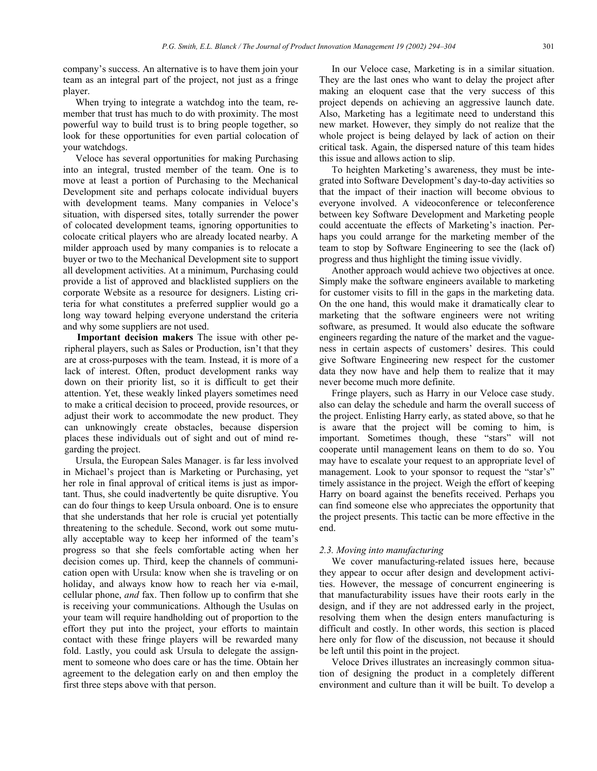company's success. An alternative is to have them join your team as an integral part of the project, not just as a fringe player.

When trying to integrate a watchdog into the team, remember that trust has much to do with proximity. The most powerful way to build trust is to bring people together, so look for these opportunities for even partial colocation of your watchdogs.

Veloce has several opportunities for making Purchasing into an integral, trusted member of the team. One is to move at least a portion of Purchasing to the Mechanical Development site and perhaps colocate individual buyers with development teams. Many companies in Veloce's situation, with dispersed sites, totally surrender the power of colocated development teams, ignoring opportunities to colocate critical players who are already located nearby. A milder approach used by many companies is to relocate a buyer or two to the Mechanical Development site to support all development activities. At a minimum, Purchasing could provide a list of approved and blacklisted suppliers on the corporate Website as a resource for designers. Listing criteria for what constitutes a preferred supplier would go a long way toward helping everyone understand the criteria and why some suppliers are not used.

**Important decision makers** The issue with other peripheral players, such as Sales or Production, isn't that they are at cross-purposes with the team. Instead, it is more of a lack of interest. Often, product development ranks way down on their priority list, so it is difficult to get their attention. Yet, these weakly linked players sometimes need to make a critical decision to proceed, provide resources, or adjust their work to accommodate the new product. They can unknowingly create obstacles, because dispersion places these individuals out of sight and out of mind regarding the project.

Ursula, the European Sales Manager. is far less involved in Michael's project than is Marketing or Purchasing, yet her role in final approval of critical items is just as important. Thus, she could inadvertently be quite disruptive. You can do four things to keep Ursula onboard. One is to ensure that she understands that her role is crucial yet potentially threatening to the schedule. Second, work out some mutually acceptable way to keep her informed of the team's progress so that she feels comfortable acting when her decision comes up. Third, keep the channels of communication open with Ursula: know when she is traveling or on holiday, and always know how to reach her via e-mail, cellular phone, *and* fax. Then follow up to confirm that she is receiving your communications. Although the Usulas on your team will require handholding out of proportion to the effort they put into the project, your efforts to maintain contact with these fringe players will be rewarded many fold. Lastly, you could ask Ursula to delegate the assignment to someone who does care or has the time. Obtain her agreement to the delegation early on and then employ the first three steps above with that person.

In our Veloce case, Marketing is in a similar situation. They are the last ones who want to delay the project after making an eloquent case that the very success of this project depends on achieving an aggressive launch date. Also, Marketing has a legitimate need to understand this new market. However, they simply do not realize that the whole project is being delayed by lack of action on their critical task. Again, the dispersed nature of this team hides this issue and allows action to slip.

To heighten Marketing's awareness, they must be integrated into Software Development's day-to-day activities so that the impact of their inaction will become obvious to everyone involved. A videoconference or teleconference between key Software Development and Marketing people could accentuate the effects of Marketing's inaction. Perhaps you could arrange for the marketing member of the team to stop by Software Engineering to see the (lack of) progress and thus highlight the timing issue vividly.

Another approach would achieve two objectives at once. Simply make the software engineers available to marketing for customer visits to fill in the gaps in the marketing data. On the one hand, this would make it dramatically clear to marketing that the software engineers were not writing software, as presumed. It would also educate the software engineers regarding the nature of the market and the vagueness in certain aspects of customers' desires. This could give Software Engineering new respect for the customer data they now have and help them to realize that it may never become much more definite.

Fringe players, such as Harry in our Veloce case study. also can delay the schedule and harm the overall success of the project. Enlisting Harry early, as stated above, so that he is aware that the project will be coming to him, is important. Sometimes though, these "stars" will not cooperate until management leans on them to do so. You may have to escalate your request to an appropriate level of management. Look to your sponsor to request the "star's" timely assistance in the project. Weigh the effort of keeping Harry on board against the benefits received. Perhaps you can find someone else who appreciates the opportunity that the project presents. This tactic can be more effective in the end.

#### *2.3. Moving into manufacturing*

We cover manufacturing-related issues here, because they appear to occur after design and development activities. However, the message of concurrent engineering is that manufacturability issues have their roots early in the design, and if they are not addressed early in the project, resolving them when the design enters manufacturing is difficult and costly. In other words, this section is placed here only for flow of the discussion, not because it should be left until this point in the project.

Veloce Drives illustrates an increasingly common situation of designing the product in a completely different environment and culture than it will be built. To develop a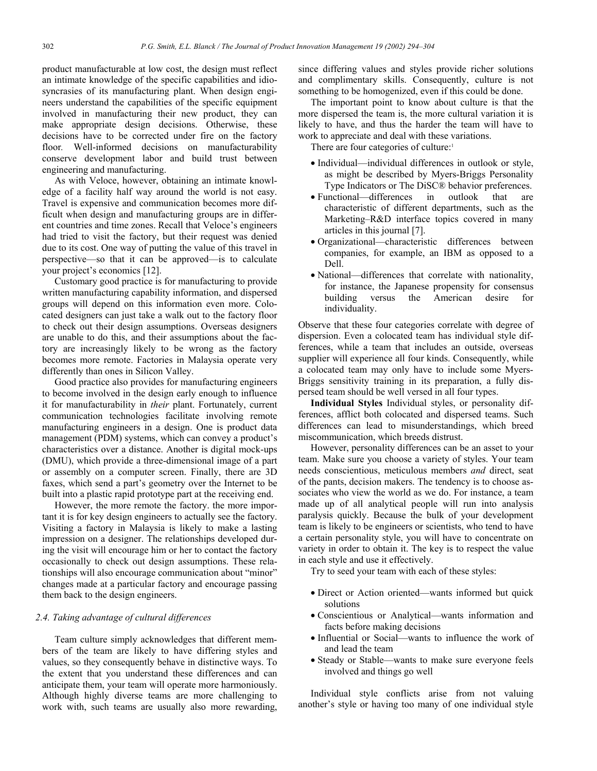product manufacturable at low cost, the design must reflect an intimate knowledge of the specific capabilities and idiosyncrasies of its manufacturing plant. When design engineers understand the capabilities of the specific equipment involved in manufacturing their new product, they can make appropriate design decisions. Otherwise, these decisions have to be corrected under fire on the factory floor*.* Well-informed decisions on manufacturability conserve development labor and build trust between engineering and manufacturing.

As with Veloce, however, obtaining an intimate knowledge of a facility half way around the world is not easy. Travel is expensive and communication becomes more difficult when design and manufacturing groups are in different countries and time zones. Recall that Veloce's engineers had tried to visit the factory, but their request was denied due to its cost. One way of putting the value of this travel in perspective—so that it can be approved—is to calculate your project's economics [12].

Customary good practice is for manufacturing to provide written manufacturing capability information, and dispersed groups will depend on this information even more. Colocated designers can just take a walk out to the factory floor to check out their design assumptions. Overseas designers are unable to do this, and their assumptions about the factory are increasingly likely to be wrong as the factory becomes more remote. Factories in Malaysia operate very differently than ones in Silicon Valley.

Good practice also provides for manufacturing engineers to become involved in the design early enough to influence it for manufacturability in *their* plant. Fortunately, current communication technologies facilitate involving remote manufacturing engineers in a design. One is product data management (PDM) systems, which can convey a product's characteristics over a distance. Another is digital mock-ups (DMU), which provide a three-dimensional image of a part or assembly on a computer screen. Finally, there are 3D faxes, which send a part's geometry over the Internet to be built into a plastic rapid prototype part at the receiving end.

However, the more remote the factory. the more important it is for key design engineers to actually see the factory. Visiting a factory in Malaysia is likely to make a lasting impression on a designer. The relationships developed during the visit will encourage him or her to contact the factory occasionally to check out design assumptions. These relationships will also encourage communication about "minor" changes made at a particular factory and encourage passing them back to the design engineers.

## *2.4. Taking advantage of cultural differences*

Team culture simply acknowledges that different members of the team are likely to have differing styles and values, so they consequently behave in distinctive ways. To the extent that you understand these differences and can anticipate them, your team will operate more harmoniously. Although highly diverse teams are more challenging to work with, such teams are usually also more rewarding, since differing values and styles provide richer solutions and complimentary skills. Consequently, culture is not something to be homogenized, even if this could be done.

The important point to know about culture is that the more dispersed the team is, the more cultural variation it is likely to have, and thus the harder the team will have to work to appreciate and deal with these variations.

There are four categories of culture:<sup>1</sup>

- Individual—individual differences in outlook or style, as might be described by Myers-Briggs Personality Type Indicators or The DiSC® behavior preferences.
- Functional—differences in outlook that are characteristic of different departments, such as the Marketing-R&D interface topics covered in many articles in this journal [7].
- Organizational—characteristic differences between companies, for example, an IBM as opposed to a Dell.
- National—differences that correlate with nationality, for instance, the Japanese propensity for consensus building versus the American desire for individuality.

Observe that these four categories correlate with degree of dispersion. Even a colocated team has individual style differences, while a team that includes an outside, overseas supplier will experience all four kinds. Consequently, while a colocated team may only have to include some Myers-Briggs sensitivity training in its preparation, a fully dispersed team should be well versed in all four types.

**Individual Styles** Individual styles, or personality differences, afflict both colocated and dispersed teams. Such differences can lead to misunderstandings, which breed miscommunication, which breeds distrust.

However, personality differences can be an asset to your team. Make sure you choose a variety of styles. Your team needs conscientious, meticulous members *and* direct, seat of the pants, decision makers. The tendency is to choose associates who view the world as we do. For instance, a team made up of all analytical people will run into analysis paralysis quickly. Because the bulk of your development team is likely to be engineers or scientists, who tend to have a certain personality style, you will have to concentrate on variety in order to obtain it. The key is to respect the value in each style and use it effectively.

Try to seed your team with each of these styles:

- Direct or Action oriented—wants informed but quick solutions
- Conscientious or Analytical—wants information and facts before making decisions
- Influential or Social—wants to influence the work of and lead the team
- Steady or Stable—wants to make sure everyone feels involved and things go well

Individual style conflicts arise from not valuing another's style or having too many of one individual style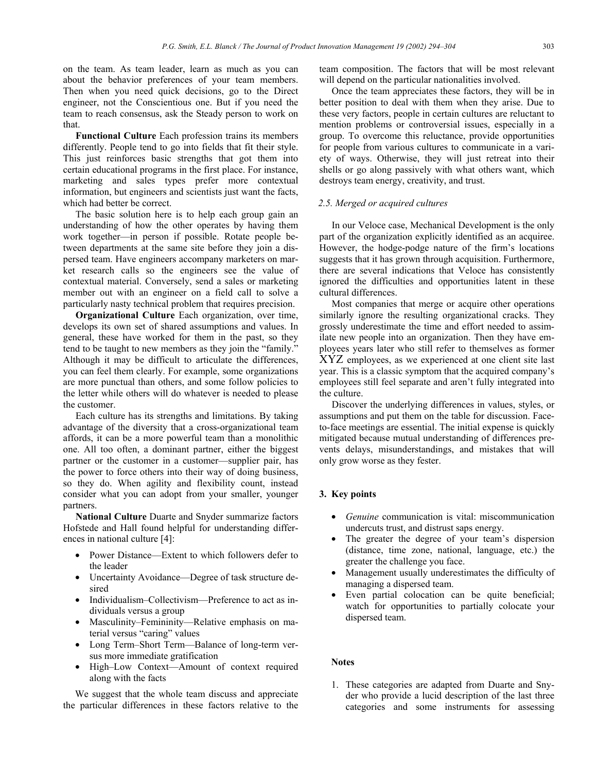on the team. As team leader, learn as much as you can about the behavior preferences of your team members. Then when you need quick decisions, go to the Direct engineer, not the Conscientious one. But if you need the team to reach consensus, ask the Steady person to work on that.

**Functional Culture** Each profession trains its members differently. People tend to go into fields that fit their style. This just reinforces basic strengths that got them into certain educational programs in the first place. For instance, marketing and sales types prefer more contextual information, but engineers and scientists just want the facts, which had better be correct.

The basic solution here is to help each group gain an understanding of how the other operates by having them work together—in person if possible. Rotate people between departments at the same site before they join a dispersed team. Have engineers accompany marketers on market research calls so the engineers see the value of contextual material. Conversely, send a sales or marketing member out with an engineer on a field call to solve a particularly nasty technical problem that requires precision.

**Organizational Culture** Each organization, over time, develops its own set of shared assumptions and values. In general, these have worked for them in the past, so they tend to be taught to new members as they join the "family." Although it may be difficult to articulate the differences, you can feel them clearly. For example, some organizations are more punctual than others, and some follow policies to the letter while others will do whatever is needed to please the customer.

Each culture has its strengths and limitations. By taking advantage of the diversity that a cross-organizational team affords, it can be a more powerful team than a monolithic one. All too often, a dominant partner, either the biggest partner or the customer in a customer—supplier pair, has the power to force others into their way of doing business, so they do. When agility and flexibility count, instead consider what you can adopt from your smaller, younger partners.

**National Culture** Duarte and Snyder summarize factors Hofstede and Hall found helpful for understanding differences in national culture [4]:

- Power Distance—Extent to which followers defer to the leader
- Uncertainty Avoidance—Degree of task structure desired
- Individualism–Collectivism—Preference to act as individuals versus a group
- Masculinity–Femininity–Relative emphasis on material versus "caring" values
- Long Term–Short Term—Balance of long-term versus more immediate gratification
- High-Low Context-Amount of context required along with the facts

We suggest that the whole team discuss and appreciate the particular differences in these factors relative to the team composition. The factors that will be most relevant will depend on the particular nationalities involved.

Once the team appreciates these factors, they will be in better position to deal with them when they arise. Due to these very factors, people in certain cultures are reluctant to mention problems or controversial issues, especially in a group. To overcome this reluctance, provide opportunities for people from various cultures to communicate in a variety of ways. Otherwise, they will just retreat into their shells or go along passively with what others want, which destroys team energy, creativity, and trust.

#### *2.5. Merged or acquired cultures*

In our Veloce case, Mechanical Development is the only part of the organization explicitly identified as an acquiree. However, the hodge-podge nature of the firm's locations suggests that it has grown through acquisition. Furthermore, there are several indications that Veloce has consistently ignored the difficulties and opportunities latent in these cultural differences.

Most companies that merge or acquire other operations similarly ignore the resulting organizational cracks. They grossly underestimate the time and effort needed to assimilate new people into an organization. Then they have employees years later who still refer to themselves as former XYZ employees, as we experienced at one client site last year. This is a classic symptom that the acquired company's employees still feel separate and aren't fully integrated into the culture.

Discover the underlying differences in values, styles, or assumptions and put them on the table for discussion. Faceto-face meetings are essential. The initial expense is quickly mitigated because mutual understanding of differences prevents delays, misunderstandings, and mistakes that will only grow worse as they fester.

## **3. Key points**

- *Genuine* communication is vital: miscommunication undercuts trust, and distrust saps energy.
- The greater the degree of your team's dispersion (distance, time zone, national, language, etc.) the greater the challenge you face.
- Management usually underestimates the difficulty of managing a dispersed team.
- Even partial colocation can be quite beneficial; watch for opportunities to partially colocate your dispersed team.

#### **Notes**

1. These categories are adapted from Duarte and Snyder who provide a lucid description of the last three categories and some instruments for assessing